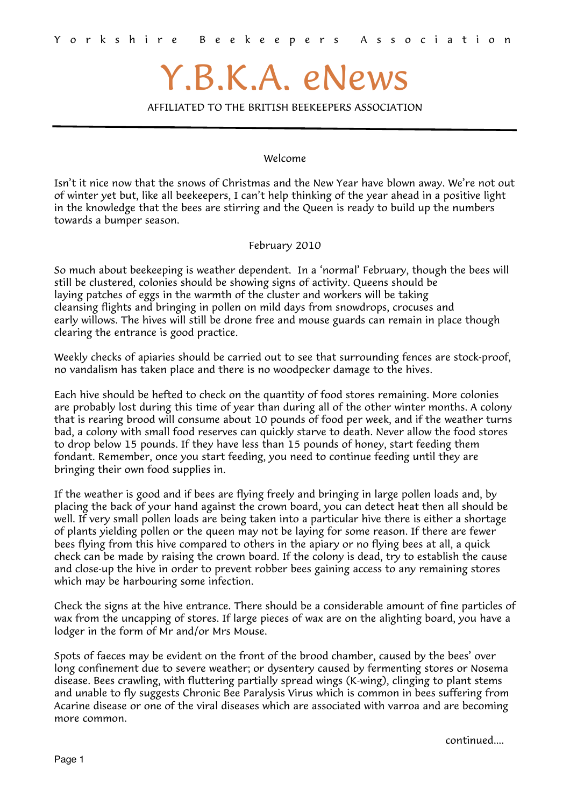### Y.B.K.A. eNews

AFFILIATED TO THE BRITISH BEEKEEPERS ASSOCIATION

### Welcome

Isn't it nice now that the snows of Christmas and the New Year have blown away. We're not out of winter yet but, like all beekeepers, I can't help thinking of the year ahead in a positive light in the knowledge that the bees are stirring and the Queen is ready to build up the numbers towards a bumper season.

February 2010

So much about beekeeping is weather dependent. In a 'normal' February, though the bees will still be clustered, colonies should be showing signs of activity. Queens should be laying patches of eggs in the warmth of the cluster and workers will be taking cleansing flights and bringing in pollen on mild days from snowdrops, crocuses and early willows. The hives will still be drone free and mouse guards can remain in place though clearing the entrance is good practice.

Weekly checks of apiaries should be carried out to see that surrounding fences are stock-proof, no vandalism has taken place and there is no woodpecker damage to the hives.

Each hive should be hefted to check on the quantity of food stores remaining. More colonies are probably lost during this time of year than during all of the other winter months. A colony that is rearing brood will consume about 10 pounds of food per week, and if the weather turns bad, a colony with small food reserves can quickly starve to death. Never allow the food stores to drop below 15 pounds. If they have less than 15 pounds of honey, start feeding them fondant. Remember, once you start feeding, you need to continue feeding until they are bringing their own food supplies in.

If the weather is good and if bees are flying freely and bringing in large pollen loads and, by placing the back of your hand against the crown board, you can detect heat then all should be well. If very small pollen loads are being taken into a particular hive there is either a shortage of plants yielding pollen or the queen may not be laying for some reason. If there are fewer bees flying from this hive compared to others in the apiary or no flying bees at all, a quick check can be made by raising the crown board. If the colony is dead, try to establish the cause and close-up the hive in order to prevent robber bees gaining access to any remaining stores which may be harbouring some infection.

Check the signs at the hive entrance. There should be a considerable amount of fine particles of wax from the uncapping of stores. If large pieces of wax are on the alighting board, you have a lodger in the form of Mr and/or Mrs Mouse.

Spots of faeces may be evident on the front of the brood chamber, caused by the bees' over long confinement due to severe weather; or dysentery caused by fermenting stores or Nosema disease. Bees crawling, with fluttering partially spread wings (K-wing), clinging to plant stems and unable to fly suggests Chronic Bee Paralysis Virus which is common in bees suffering from Acarine disease or one of the viral diseases which are associated with varroa and are becoming more common.

continued....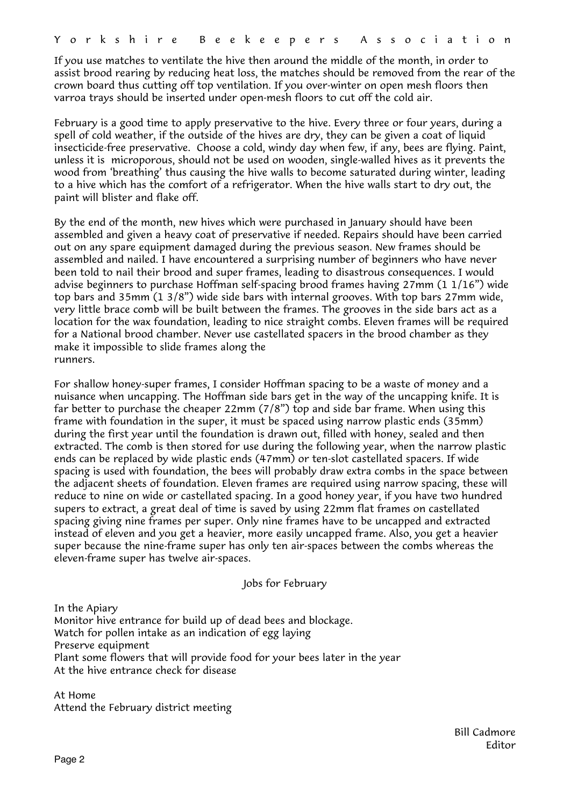If you use matches to ventilate the hive then around the middle of the month, in order to assist brood rearing by reducing heat loss, the matches should be removed from the rear of the crown board thus cutting off top ventilation. If you over-winter on open mesh floors then varroa trays should be inserted under open-mesh floors to cut off the cold air.

February is a good time to apply preservative to the hive. Every three or four years, during a spell of cold weather, if the outside of the hives are dry, they can be given a coat of liquid insecticide-free preservative. Choose a cold, windy day when few, if any, bees are flying. Paint, unless it is microporous, should not be used on wooden, single-walled hives as it prevents the wood from 'breathing' thus causing the hive walls to become saturated during winter, leading to a hive which has the comfort of a refrigerator. When the hive walls start to dry out, the paint will blister and flake off.

By the end of the month, new hives which were purchased in January should have been assembled and given a heavy coat of preservative if needed. Repairs should have been carried out on any spare equipment damaged during the previous season. New frames should be assembled and nailed. I have encountered a surprising number of beginners who have never been told to nail their brood and super frames, leading to disastrous consequences. I would advise beginners to purchase Hoffman self-spacing brood frames having 27mm (1 1/16") wide top bars and 35mm (1 3/8") wide side bars with internal grooves. With top bars 27mm wide, very little brace comb will be built between the frames. The grooves in the side bars act as a location for the wax foundation, leading to nice straight combs. Eleven frames will be required for a National brood chamber. Never use castellated spacers in the brood chamber as they make it impossible to slide frames along the runners.

For shallow honey-super frames, I consider Hoffman spacing to be a waste of money and a nuisance when uncapping. The Hoffman side bars get in the way of the uncapping knife. It is far better to purchase the cheaper 22mm (7/8") top and side bar frame. When using this frame with foundation in the super, it must be spaced using narrow plastic ends (35mm) during the first year until the foundation is drawn out, filled with honey, sealed and then extracted. The comb is then stored for use during the following year, when the narrow plastic ends can be replaced by wide plastic ends (47mm) or ten-slot castellated spacers. If wide spacing is used with foundation, the bees will probably draw extra combs in the space between the adjacent sheets of foundation. Eleven frames are required using narrow spacing, these will reduce to nine on wide or castellated spacing. In a good honey year, if you have two hundred supers to extract, a great deal of time is saved by using 22mm flat frames on castellated spacing giving nine frames per super. Only nine frames have to be uncapped and extracted instead of eleven and you get a heavier, more easily uncapped frame. Also, you get a heavier super because the nine-frame super has only ten air-spaces between the combs whereas the eleven-frame super has twelve air-spaces.

Jobs for February

In the Apiary Monitor hive entrance for build up of dead bees and blockage. Watch for pollen intake as an indication of egg laying Preserve equipment Plant some flowers that will provide food for your bees later in the year At the hive entrance check for disease

At Home Attend the February district meeting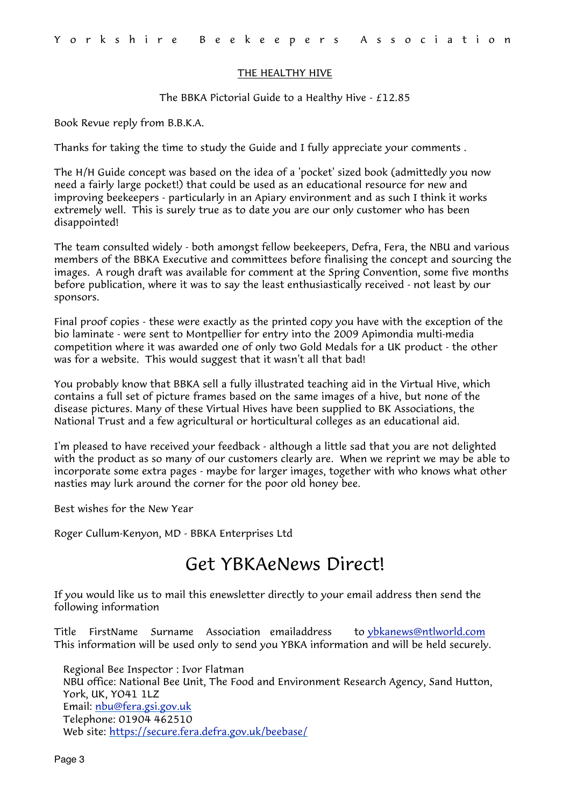### THE HEALTHY HIVE

The BBKA Pictorial Guide to a Healthy Hive - £12.85

Book Revue reply from B.B.K.A.

Thanks for taking the time to study the Guide and I fully appreciate your comments .

The H/H Guide concept was based on the idea of a 'pocket' sized book (admittedly you now need a fairly large pocket!) that could be used as an educational resource for new and improving beekeepers - particularly in an Apiary environment and as such I think it works extremely well. This is surely true as to date you are our only customer who has been disappointed!

The team consulted widely - both amongst fellow beekeepers, Defra, Fera, the NBU and various members of the BBKA Executive and committees before finalising the concept and sourcing the images. A rough draft was available for comment at the Spring Convention, some five months before publication, where it was to say the least enthusiastically received - not least by our sponsors.

Final proof copies - these were exactly as the printed copy you have with the exception of the bio laminate - were sent to Montpellier for entry into the 2009 Apimondia multi-media competition where it was awarded one of only two Gold Medals for a UK product - the other was for a website. This would suggest that it wasn't all that bad!

You probably know that BBKA sell a fully illustrated teaching aid in the Virtual Hive, which contains a full set of picture frames based on the same images of a hive, but none of the disease pictures. Many of these Virtual Hives have been supplied to BK Associations, the National Trust and a few agricultural or horticultural colleges as an educational aid.

I'm pleased to have received your feedback - although a little sad that you are not delighted with the product as so many of our customers clearly are. When we reprint we may be able to incorporate some extra pages - maybe for larger images, together with who knows what other nasties may lurk around the corner for the poor old honey bee.

Best wishes for the New Year

Roger Cullum-Kenyon, MD - BBKA Enterprises Ltd

### Get YBKAeNews Direct!

If you would like us to mail this enewsletter directly to your email address then send the following information

Title FirstName Surname Association emailaddress to [ybkanews@ntlworld.com](mailto:ybkanews@ntlworld.com) This information will be used only to send you YBKA information and will be held securely.

Regional Bee Inspector : Ivor Flatman NBU office: National Bee Unit, The Food and Environment Research Agency, Sand Hutton, York, UK, YO41 1LZ Email: [nbu@fera.gsi.gov.uk](mailto:nbu@fera.gsi.gov.uk) Telephone: 01904 462510 Web site:<https://secure.fera.defra.gov.uk/beebase/>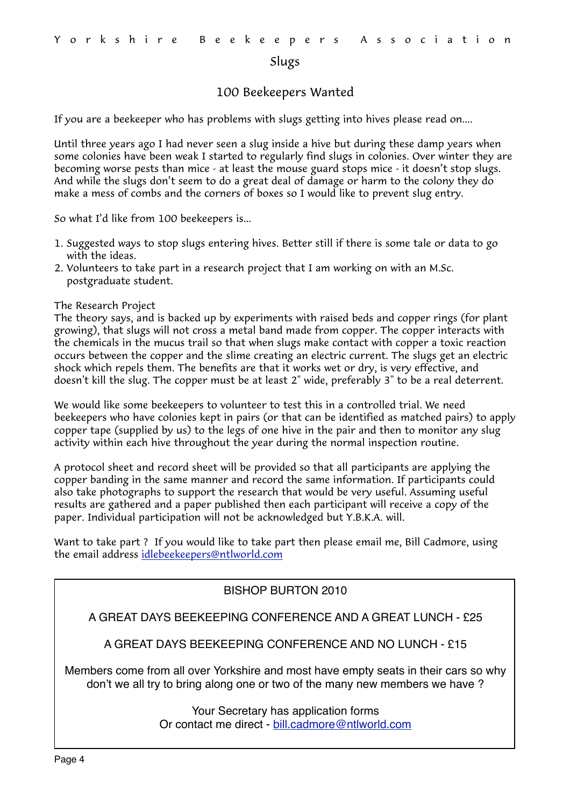### Slugs

### 100 Beekeepers Wanted

If you are a beekeeper who has problems with slugs getting into hives please read on....

Until three years ago I had never seen a slug inside a hive but during these damp years when some colonies have been weak I started to regularly find slugs in colonies. Over winter they are becoming worse pests than mice - at least the mouse guard stops mice - it doesn't stop slugs. And while the slugs don't seem to do a great deal of damage or harm to the colony they do make a mess of combs and the corners of boxes so I would like to prevent slug entry.

So what I'd like from 100 beekeepers is...

- 1. Suggested ways to stop slugs entering hives. Better still if there is some tale or data to go with the ideas.
- 2. Volunteers to take part in a research project that I am working on with an M.Sc. postgraduate student.

### The Research Project

The theory says, and is backed up by experiments with raised beds and copper rings (for plant growing), that slugs will not cross a metal band made from copper. The copper interacts with the chemicals in the mucus trail so that when slugs make contact with copper a toxic reaction occurs between the copper and the slime creating an electric current. The slugs get an electric shock which repels them. The benefits are that it works wet or dry, is very effective, and doesn't kill the slug. The copper must be at least 2" wide, preferably 3" to be a real deterrent.

We would like some beekeepers to volunteer to test this in a controlled trial. We need beekeepers who have colonies kept in pairs (or that can be identified as matched pairs) to apply copper tape (supplied by us) to the legs of one hive in the pair and then to monitor any slug activity within each hive throughout the year during the normal inspection routine.

A protocol sheet and record sheet will be provided so that all participants are applying the copper banding in the same manner and record the same information. If participants could also take photographs to support the research that would be very useful. Assuming useful results are gathered and a paper published then each participant will receive a copy of the paper. Individual participation will not be acknowledged but Y.B.K.A. will.

Want to take part ? If you would like to take part then please email me, Bill Cadmore, using the email address [idlebeekeepers@ntlworld.com](mailto:idlebeekeepers@ntlworld.com)

### BISHOP BURTON 2010

A GREAT DAYS BEEKEEPING CONFERENCE AND A GREAT LUNCH - £25

A GREAT DAYS BEEKEEPING CONFERENCE AND NO LUNCH - £15

Members come from all over Yorkshire and most have empty seats in their cars so why don't we all try to bring along one or two of the many new members we have ?

> Your Secretary has application forms Or contact me direct - [bill.cadmore@ntlworld.com](mailto:bill.cadmore@ntlworld.com)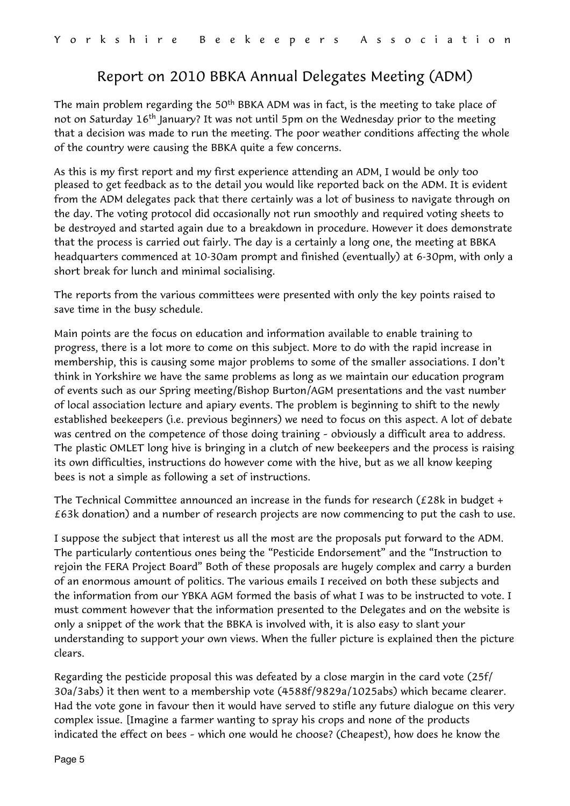### Report on 2010 BBKA Annual Delegates Meeting (ADM)

The main problem regarding the 50<sup>th</sup> BBKA ADM was in fact, is the meeting to take place of not on Saturday  $16<sup>th</sup>$  January? It was not until 5pm on the Wednesday prior to the meeting that a decision was made to run the meeting. The poor weather conditions affecting the whole of the country were causing the BBKA quite a few concerns.

As this is my first report and my first experience attending an ADM, I would be only too pleased to get feedback as to the detail you would like reported back on the ADM. It is evident from the ADM delegates pack that there certainly was a lot of business to navigate through on the day. The voting protocol did occasionally not run smoothly and required voting sheets to be destroyed and started again due to a breakdown in procedure. However it does demonstrate that the process is carried out fairly. The day is a certainly a long one, the meeting at BBKA headquarters commenced at 10-30am prompt and finished (eventually) at 6-30pm, with only a short break for lunch and minimal socialising.

The reports from the various committees were presented with only the key points raised to save time in the busy schedule.

Main points are the focus on education and information available to enable training to progress, there is a lot more to come on this subject. More to do with the rapid increase in membership, this is causing some major problems to some of the smaller associations. I don't think in Yorkshire we have the same problems as long as we maintain our education program of events such as our Spring meeting/Bishop Burton/AGM presentations and the vast number of local association lecture and apiary events. The problem is beginning to shift to the newly established beekeepers (i.e. previous beginners) we need to focus on this aspect. A lot of debate was centred on the competence of those doing training – obviously a difficult area to address. The plastic OMLET long hive is bringing in a clutch of new beekeepers and the process is raising its own difficulties, instructions do however come with the hive, but as we all know keeping bees is not a simple as following a set of instructions.

The Technical Committee announced an increase in the funds for research (£28k in budget + £63k donation) and a number of research projects are now commencing to put the cash to use.

I suppose the subject that interest us all the most are the proposals put forward to the ADM. The particularly contentious ones being the "Pesticide Endorsement" and the "Instruction to rejoin the FERA Project Board" Both of these proposals are hugely complex and carry a burden of an enormous amount of politics. The various emails I received on both these subjects and the information from our YBKA AGM formed the basis of what I was to be instructed to vote. I must comment however that the information presented to the Delegates and on the website is only a snippet of the work that the BBKA is involved with, it is also easy to slant your understanding to support your own views. When the fuller picture is explained then the picture clears.

Regarding the pesticide proposal this was defeated by a close margin in the card vote (25f/ 30a/3abs) it then went to a membership vote (4588f/9829a/1025abs) which became clearer. Had the vote gone in favour then it would have served to stifle any future dialogue on this very complex issue. [Imagine a farmer wanting to spray his crops and none of the products indicated the effect on bees – which one would he choose? (Cheapest), how does he know the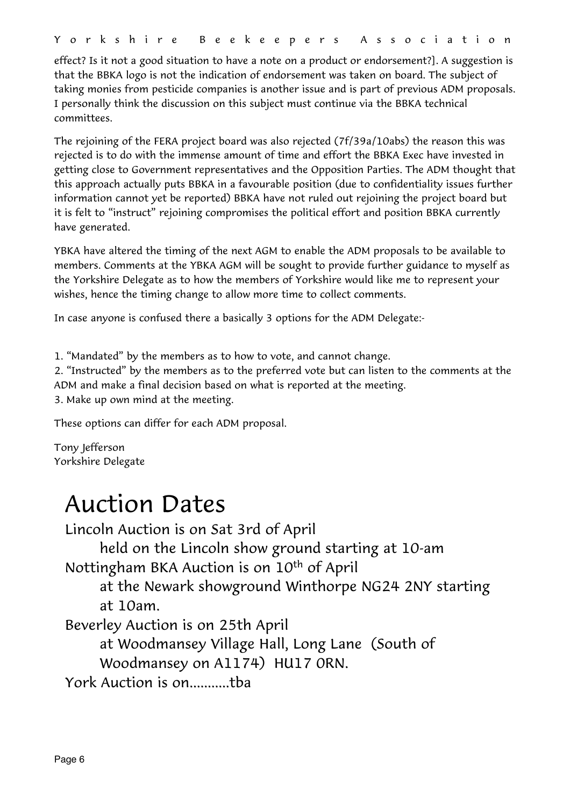effect? Is it not a good situation to have a note on a product or endorsement?]. A suggestion is that the BBKA logo is not the indication of endorsement was taken on board. The subject of taking monies from pesticide companies is another issue and is part of previous ADM proposals. I personally think the discussion on this subject must continue via the BBKA technical committees.

The rejoining of the FERA project board was also rejected (7f/39a/10abs) the reason this was rejected is to do with the immense amount of time and effort the BBKA Exec have invested in getting close to Government representatives and the Opposition Parties. The ADM thought that this approach actually puts BBKA in a favourable position (due to confidentiality issues further information cannot yet be reported) BBKA have not ruled out rejoining the project board but it is felt to "instruct" rejoining compromises the political effort and position BBKA currently have generated.

YBKA have altered the timing of the next AGM to enable the ADM proposals to be available to members. Comments at the YBKA AGM will be sought to provide further guidance to myself as the Yorkshire Delegate as to how the members of Yorkshire would like me to represent your wishes, hence the timing change to allow more time to collect comments.

In case anyone is confused there a basically 3 options for the ADM Delegate:-

1. "Mandated" by the members as to how to vote, and cannot change.

2. "Instructed" by the members as to the preferred vote but can listen to the comments at the ADM and make a final decision based on what is reported at the meeting.

3. Make up own mind at the meeting.

These options can differ for each ADM proposal.

Tony Jefferson Yorkshire Delegate

### Auction Dates

Lincoln Auction is on Sat 3rd of April

held on the Lincoln show ground starting at 10-am

Nottingham BKA Auction is on 10<sup>th</sup> of April

 at the Newark showground Winthorpe NG24 2NY starting at 10am.

Beverley Auction is on 25th April

 at Woodmansey Village Hall, Long Lane (South of Woodmansey on A1174) HU17 0RN.

York Auction is on...........tba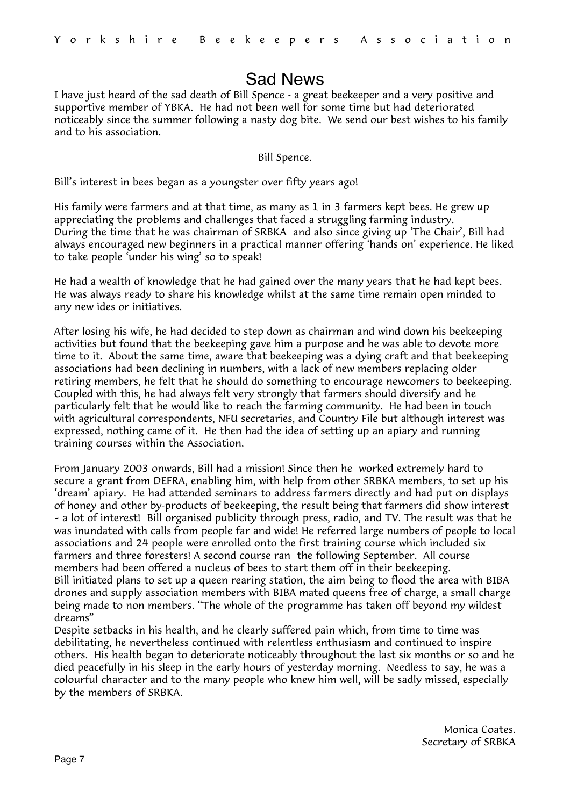### Sad News

I have just heard of the sad death of Bill Spence - a great beekeeper and a very positive and supportive member of YBKA. He had not been well for some time but had deteriorated noticeably since the summer following a nasty dog bite. We send our best wishes to his family and to his association.

### Bill Spence.

Bill's interest in bees began as a youngster over fifty years ago!

His family were farmers and at that time, as many as 1 in 3 farmers kept bees. He grew up appreciating the problems and challenges that faced a struggling farming industry. During the time that he was chairman of SRBKA and also since giving up 'The Chair', Bill had always encouraged new beginners in a practical manner offering 'hands on' experience. He liked to take people 'under his wing' so to speak!

He had a wealth of knowledge that he had gained over the many years that he had kept bees. He was always ready to share his knowledge whilst at the same time remain open minded to any new ides or initiatives.

After losing his wife, he had decided to step down as chairman and wind down his beekeeping activities but found that the beekeeping gave him a purpose and he was able to devote more time to it. About the same time, aware that beekeeping was a dying craft and that beekeeping associations had been declining in numbers, with a lack of new members replacing older retiring members, he felt that he should do something to encourage newcomers to beekeeping. Coupled with this, he had always felt very strongly that farmers should diversify and he particularly felt that he would like to reach the farming community. He had been in touch with agricultural correspondents, NFU secretaries, and Country File but although interest was expressed, nothing came of it. He then had the idea of setting up an apiary and running training courses within the Association.

From January 2003 onwards, Bill had a mission! Since then he worked extremely hard to secure a grant from DEFRA, enabling him, with help from other SRBKA members, to set up his 'dream' apiary. He had attended seminars to address farmers directly and had put on displays of honey and other by-products of beekeeping, the result being that farmers did show interest – a lot of interest! Bill organised publicity through press, radio, and TV. The result was that he was inundated with calls from people far and wide! He referred large numbers of people to local associations and 24 people were enrolled onto the first training course which included six farmers and three foresters! A second course ran the following September. All course members had been offered a nucleus of bees to start them off in their beekeeping. Bill initiated plans to set up a queen rearing station, the aim being to flood the area with BIBA drones and supply association members with BIBA mated queens free of charge, a small charge being made to non members. "The whole of the programme has taken off beyond my wildest dreams"

Despite setbacks in his health, and he clearly suffered pain which, from time to time was debilitating, he nevertheless continued with relentless enthusiasm and continued to inspire others. His health began to deteriorate noticeably throughout the last six months or so and he died peacefully in his sleep in the early hours of yesterday morning. Needless to say, he was a colourful character and to the many people who knew him well, will be sadly missed, especially by the members of SRBKA.

> Monica Coates. Secretary of SRBKA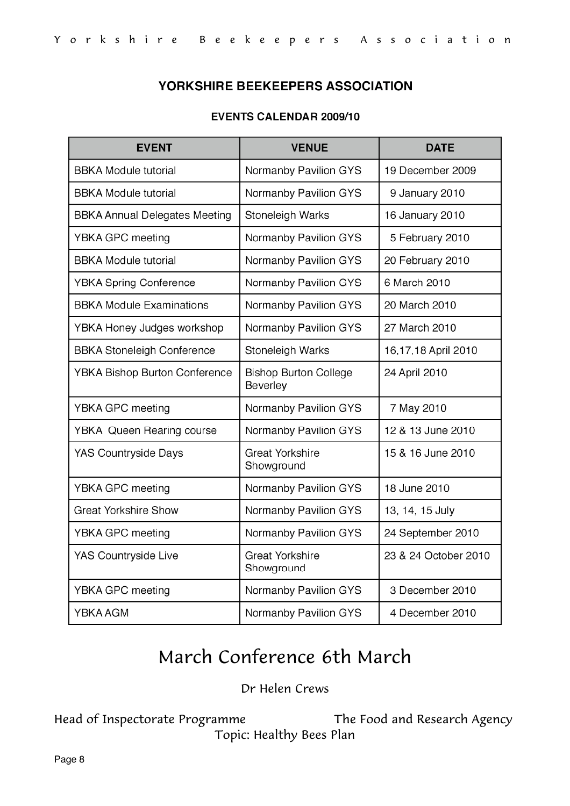### YORKSHIRE BEEKEEPERS ASSOCIATION

### **EVENTS CALENDAR 2009/10**

| <b>EVENT</b>                         | <b>VENUE</b>                             | <b>DATE</b>          |  |
|--------------------------------------|------------------------------------------|----------------------|--|
| <b>BBKA Module tutorial</b>          | Normanby Pavilion GYS                    | 19 December 2009     |  |
| <b>BBKA Module tutorial</b>          | Normanby Pavilion GYS                    | 9 January 2010       |  |
| <b>BBKA Annual Delegates Meeting</b> | Stoneleigh Warks                         | 16 January 2010      |  |
| YBKA GPC meeting                     | Normanby Pavilion GYS                    | 5 February 2010      |  |
| <b>BBKA Module tutorial</b>          | Normanby Pavilion GYS                    | 20 February 2010     |  |
| <b>YBKA Spring Conference</b>        | Normanby Pavilion GYS                    | 6 March 2010         |  |
| <b>BBKA Module Examinations</b>      | Normanby Pavilion GYS                    | 20 March 2010        |  |
| YBKA Honey Judges workshop           | Normanby Pavilion GYS                    | 27 March 2010        |  |
| <b>BBKA Stoneleigh Conference</b>    | Stoneleigh Warks                         | 16,17,18 April 2010  |  |
| YBKA Bishop Burton Conference        | <b>Bishop Burton College</b><br>Beverley | 24 April 2010        |  |
| <b>YBKA GPC meeting</b>              | Normanby Pavilion GYS                    | 7 May 2010           |  |
| <b>YBKA Queen Rearing course</b>     | Normanby Pavilion GYS                    | 12 & 13 June 2010    |  |
| <b>YAS Countryside Days</b>          | <b>Great Yorkshire</b><br>Showground     | 15 & 16 June 2010    |  |
| <b>YBKA GPC meeting</b>              | Normanby Pavilion GYS                    | 18 June 2010         |  |
| <b>Great Yorkshire Show</b>          | Normanby Pavilion GYS                    | 13, 14, 15 July      |  |
| YBKA GPC meeting                     | Normanby Pavilion GYS                    | 24 September 2010    |  |
| YAS Countryside Live                 | <b>Great Yorkshire</b><br>Showground     | 23 & 24 October 2010 |  |
| YBKA GPC meeting                     | Normanby Pavilion GYS                    | 3 December 2010      |  |
| YBKA AGM                             | Normanby Pavilion GYS                    | 4 December 2010      |  |

### March Conference 6th March

Dr Helen Crews

Head of Inspectorate Programme The Food and Research Agency Topic: Healthy Bees Plan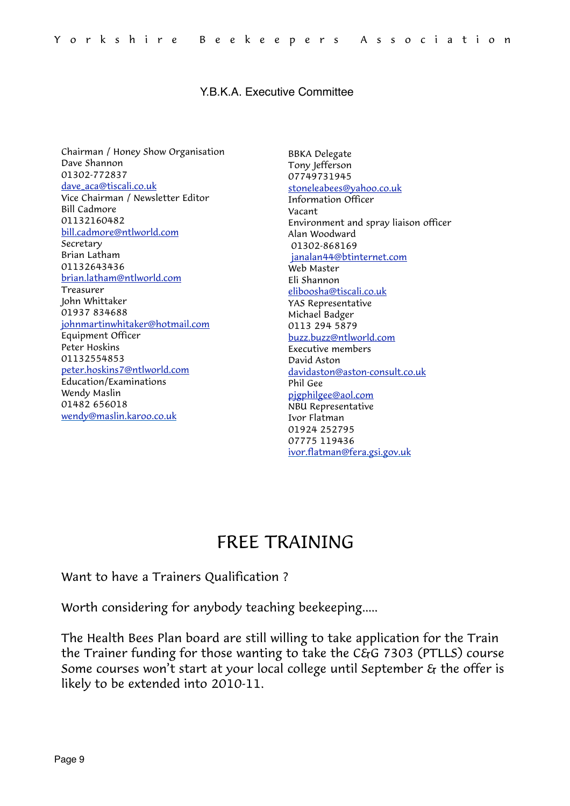### Y.B.K.A. Executive Committee

Chairman / Honey Show Organisation Dave Shannon 01302-772837 [dave\\_aca@tiscali.co.uk](mailto:dave_aca@tiscali.co.uk) Vice Chairman / Newsletter Editor Bill Cadmore 01132160482 [bill.cadmore@ntlworld.com](mailto:bill.cadmore@ntlworld.com) Secretary Brian Latham 01132643436 [brian.latham@ntlworld.com](mailto:brian.latham@ntlworld.com) Treasurer John Whittaker 01937 834688 [johnmartinwhitaker@hotmail.com](mailto:johnmartinwhitaker@hotmail.com) Equipment Officer Peter Hoskins 01132554853 [peter.hoskins7@ntlworld.com](mailto:peter.hoskins7@ntlworld.com) Education/Examinations Wendy Maslin 01482 656018 [wendy@maslin.karoo.co.uk](mailto:wendy@maslin.karoo.co.uk)

BBKA Delegate Tony Jefferson 07749731945 [stoneleabees@yahoo.co.uk](mailto:tony@stoneleabees.wanadoo.co.uk) Information Officer Vacant Environment and spray liaison officer Alan Woodward 01302-868169 [janalan44@btinternet.com](mailto:janalan44@btinternet.com) Web Master Eli Shannon [eliboosha@tiscali.co.uk](mailto:eliboosha@tiscali.co.uk) YAS Representative Michael Badger 0113 294 5879 [buzz.buzz@ntlworld.com](mailto:buzz.buzz@ntlworld.com) Executive members David Aston [davidaston@aston-consult.co.uk](mailto:davidaston@aston-consult.co.uk) Phil Gee [pjgphilgee@aol.com](mailto:pjgphilgee@aol.com) NBU Representative Ivor Flatman 01924 252795 07775 119436 [ivor.flatman@fera.gsi.gov.uk](mailto:ivor.flatman@fera.gsi.gov.uk)

### FREE TRAINING

Want to have a Trainers Qualification ?

Worth considering for anybody teaching beekeeping.....

The Health Bees Plan board are still willing to take application for the Train the Trainer funding for those wanting to take the C&G 7303 (PTLLS) course Some courses won't start at your local college until September & the offer is likely to be extended into 2010-11.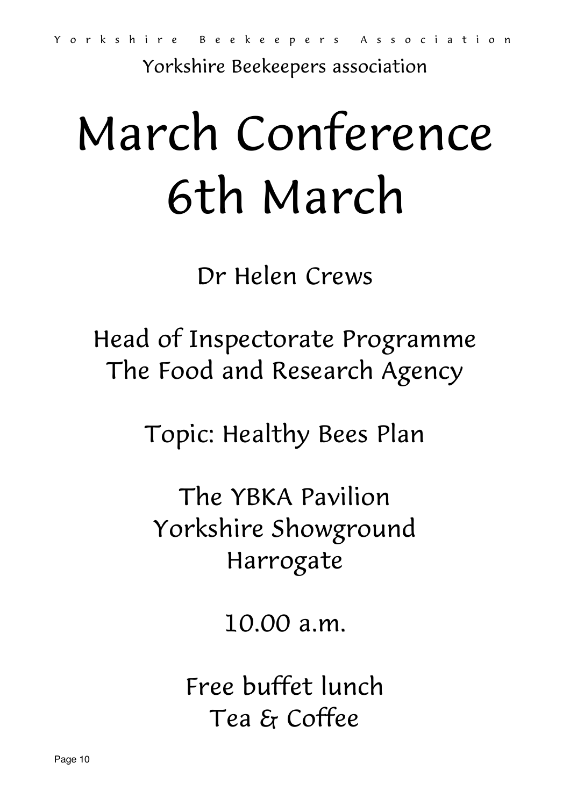Yorkshire Beekeepers association

### March Conference 6th March

Dr Helen Crews

### Head of Inspectorate Programme The Food and Research Agency

Topic: Healthy Bees Plan

The YBKA Pavilion Yorkshire Showground Harrogate

10.00 a.m.

Free buffet lunch Tea & Coffee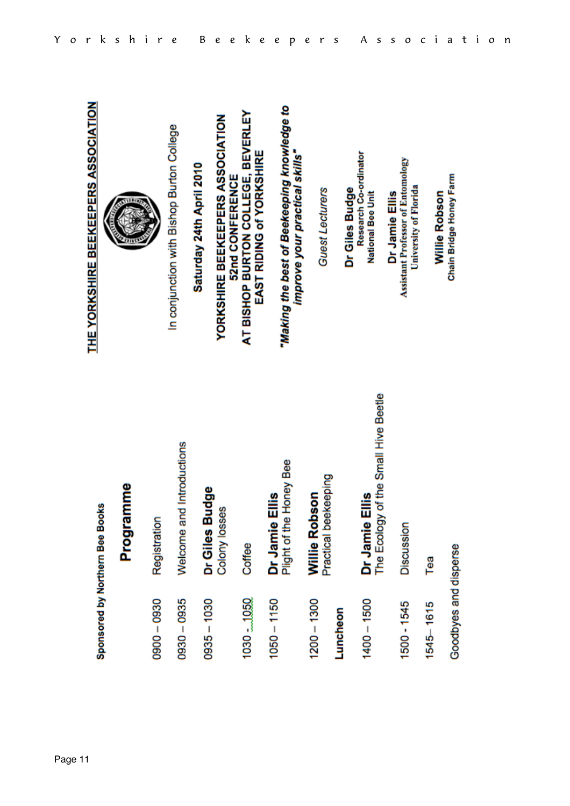|                       | Sponsored by Northern Bee Books                        | THE YORKSHIRE BEEKEEPERS ASSOCIATION                                              |
|-----------------------|--------------------------------------------------------|-----------------------------------------------------------------------------------|
|                       | mme<br>Progra                                          |                                                                                   |
| $0800 - 0930$         | Registration                                           |                                                                                   |
| 0930 - 0935           | Welcome and Introductions                              | In conjunction with Bishop Burton College                                         |
| $0835 - 1030$         | Dr Giles Budge                                         | Saturday 24th April 2010                                                          |
|                       | Ø<br>Colony losse                                      | YORKSHIRE BEEKEEPERS ASSOCIATION                                                  |
| 1030 = 1050           | Coffee                                                 | AT BISHOP BURTON COLLEGE, BEVERLEY<br>EAST RIDING of YORKSHIRE<br>52nd CONFERENCE |
| $1050 - 1150$         | Honey Bee<br>Dr Jamie Ellis<br>Plight of the Hone      | "Making the best of Beekeeping knowledge to<br>improve your practical skills"     |
| $1200 - 1300$         | Practical beekeeping<br>Willie Robson                  | <b>Guest Lecturers</b>                                                            |
| Luncheon              |                                                        | Dr Giles Budge                                                                    |
| $1400 - 1500$         | Dr Jamie Ellis<br>The Ecology of the Small Hive Beetle | Research Co-ordinator<br>National Bee Unit                                        |
| 1500 - 1545           | Discussion                                             | Assistant Professor of Entomology<br>University of Florida<br>Dr Jamie Ellis      |
| $1545 - 1615$         | Tea                                                    | Willie Robson                                                                     |
| Goodbyes and disperse |                                                        | Chain Bridge Honey Farm                                                           |